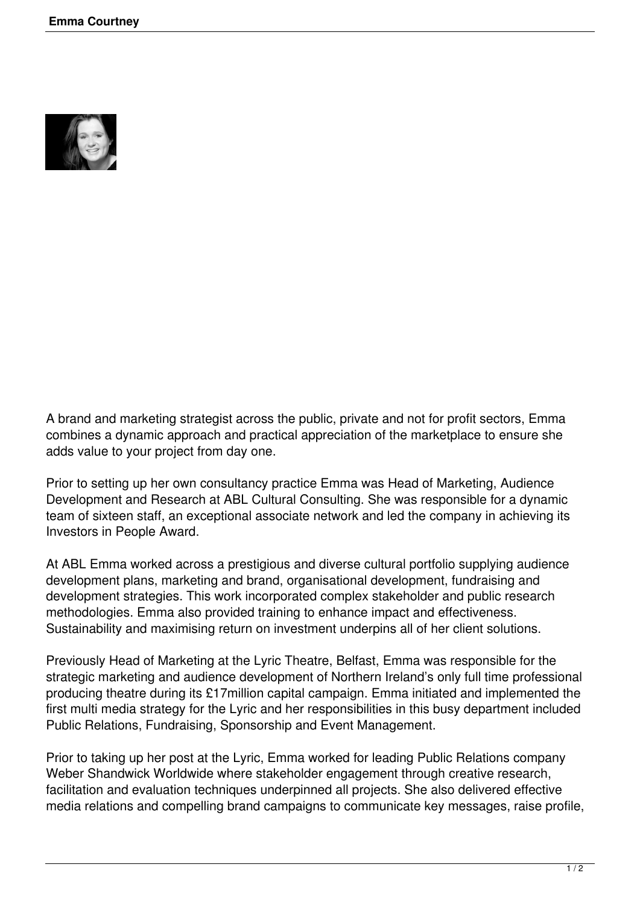

A brand and marketing strategist across the public, private and not for profit sectors, Emma combines a dynamic approach and practical appreciation of the marketplace to ensure she adds value to your project from day one.

Prior to setting up her own consultancy practice Emma was Head of Marketing, Audience Development and Research at ABL Cultural Consulting. She was responsible for a dynamic team of sixteen staff, an exceptional associate network and led the company in achieving its Investors in People Award.

At ABL Emma worked across a prestigious and diverse cultural portfolio supplying audience development plans, marketing and brand, organisational development, fundraising and development strategies. This work incorporated complex stakeholder and public research methodologies. Emma also provided training to enhance impact and effectiveness. Sustainability and maximising return on investment underpins all of her client solutions.

Previously Head of Marketing at the Lyric Theatre, Belfast, Emma was responsible for the strategic marketing and audience development of Northern Ireland's only full time professional producing theatre during its £17million capital campaign. Emma initiated and implemented the first multi media strategy for the Lyric and her responsibilities in this busy department included Public Relations, Fundraising, Sponsorship and Event Management.

Prior to taking up her post at the Lyric, Emma worked for leading Public Relations company Weber Shandwick Worldwide where stakeholder engagement through creative research, facilitation and evaluation techniques underpinned all projects. She also delivered effective media relations and compelling brand campaigns to communicate key messages, raise profile,